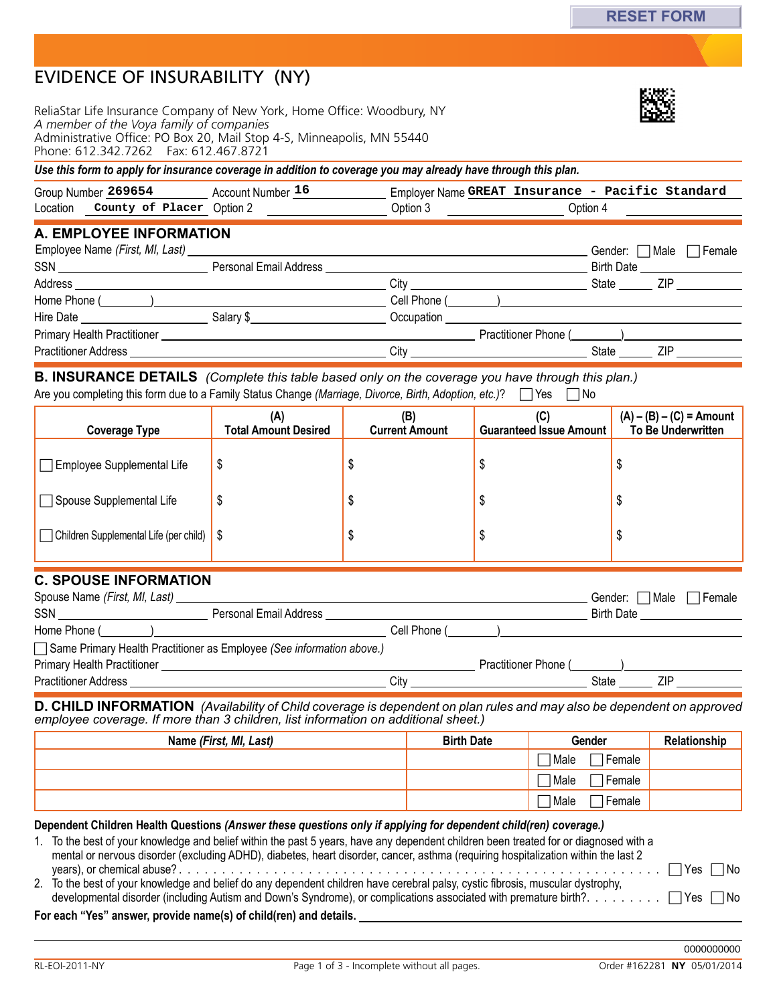| EVIDENCE OF INSURABILITY (NY) |  |
|-------------------------------|--|
|-------------------------------|--|

ReliaStar Life Insurance Company of New York, Home Office: Woodbury, NY *A member of the Voya family of companies*  Administrative Office: PO Box 20, Mail Stop 4-S, Minneapolis, MN 55440 Phone: 612.342.7262 Fax: 612.467.8721

*Use this form to apply for insurance coverage in addition to coverage you may already have through this plan.*

| Group Number<br>269654       | nur      | Employer Name GREAT | tandaro<br>Pacific<br>Insurance - |  |
|------------------------------|----------|---------------------|-----------------------------------|--|
| Location<br>County of Placer | ∠ Option | )ntıor              | Jotion                            |  |

## **A. Employee Information**

|                                                                                                      |                        |            | Gender: □ Male | Female                            |
|------------------------------------------------------------------------------------------------------|------------------------|------------|----------------|-----------------------------------|
| $SSN \begin{tabular}{@{}c@{}} \quad \quad \quad & \quad \quad & \quad \quad \\ \hline \end{tabular}$ | Personal Email Address |            |                | Birth Date <u>_______________</u> |
| Address                                                                                              |                        | City       | State          | ZIP                               |
|                                                                                                      |                        |            |                |                                   |
| Hire Date <b>Example 20</b>                                                                          | Salary \$              | Occupation |                |                                   |
| Primary Health Practitioner                                                                          |                        |            |                |                                   |
| <b>Practitioner Address</b>                                                                          |                        | Citv       | State          | 7IP                               |

Are you completing this form due to a Family Status Change *(Marriage, Divorce, Birth, Adoption, etc.)*? Twes No **B. INSURANCE DETAILS** (Complete this table based only on the coverage you have through this plan.)

| <b>Coverage Type</b>                        | (A)<br><b>Total Amount Desired</b> | (B)<br><b>Current Amount</b> | (C)<br><b>Guaranteed Issue Amount</b> | $(A) - (B) - (C) =$ Amount<br>To Be Underwritten |
|---------------------------------------------|------------------------------------|------------------------------|---------------------------------------|--------------------------------------------------|
| $\Box$ Employee Supplemental Life           |                                    |                              |                                       |                                                  |
| Spouse Supplemental Life                    |                                    |                              |                                       |                                                  |
| Children Supplemental Life (per child)   \$ |                                    |                              |                                       |                                                  |

## **C. Spouse Information**

| Spouse Name (First, MI, Last)                                         |                        |                |                      | Gender:           | l Male | l Female |
|-----------------------------------------------------------------------|------------------------|----------------|----------------------|-------------------|--------|----------|
| <b>SSN</b><br>the control of the control of the control of the        | Personal Email Address |                |                      | <b>Birth Date</b> |        |          |
|                                                                       |                        | Cell Phone ( ) |                      |                   |        |          |
| Same Primary Health Practitioner as Employee (See information above.) |                        |                |                      |                   |        |          |
| <b>Primary Health Practitioner</b>                                    |                        |                | Practitioner Phone ( |                   |        |          |
| Practitioner Address                                                  |                        | Citv           |                      | State             |        |          |

**D. CHILD INFORMATION** (Availability of Child coverage is dependent on plan rules and may also be dependent on approved *employee coverage. If more than 3 children, list information on additional sheet.)*

| Name (First, MI, Last) | <b>Birth Date</b> | <b>Gender</b>                       | Relationship |
|------------------------|-------------------|-------------------------------------|--------------|
|                        |                   | ∏Male<br>$\sqcap$ Female            |              |
|                        |                   | $\sqsupset$ Female<br>$\sqcap$ Male |              |
|                        |                   | ∃Female<br>$\sqcap$ Male            |              |

**Dependent Children Health Questions** *(Answer these questions only if applying for dependent child(ren) coverage.)*

1. To the best of your knowledge and belief within the past 5 years, have any dependent children been treated for or diagnosed with a mental or nervous disorder (excluding ADHD), diabetes, heart disorder, cancer, asthma (requiring hospitalization within the last 2 years), or chemical abuse? . . Yes No

2. To the best of your knowledge and belief do any dependent children have cerebral palsy, cystic fibrosis, muscular dystrophy, developmental disorder (including Autism and Down's Syndrome), or complications associated with premature birth? . . Yes No

**For each "Yes" answer, provide name(s) of child(ren) and details.**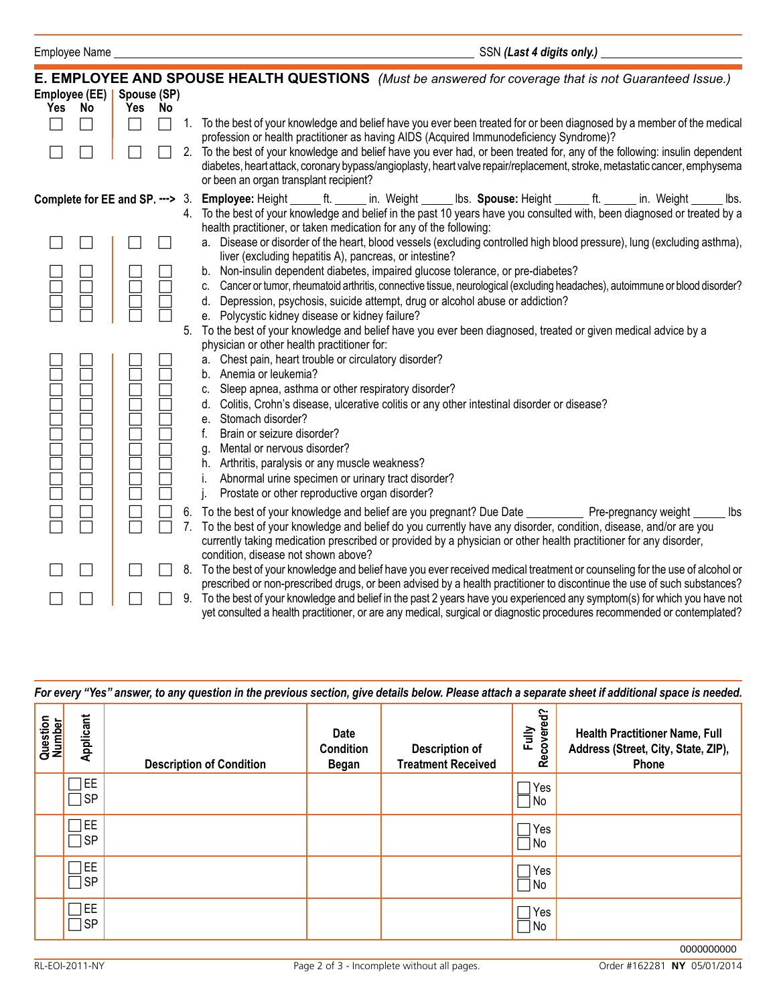|               |    |             |    |    | E. EMPLOYEE AND SPOUSE HEALTH QUESTIONS (Must be answered for coverage that is not Guaranteed Issue.)                                                                                                                                                                                              |
|---------------|----|-------------|----|----|----------------------------------------------------------------------------------------------------------------------------------------------------------------------------------------------------------------------------------------------------------------------------------------------------|
| Employee (EE) |    | Spouse (SP) |    |    |                                                                                                                                                                                                                                                                                                    |
| <b>Yes</b>    | No | Yes         | No |    |                                                                                                                                                                                                                                                                                                    |
|               |    |             |    |    | 1. To the best of your knowledge and belief have you ever been treated for or been diagnosed by a member of the medical<br>profession or health practitioner as having AIDS (Acquired Immunodeficiency Syndrome)?                                                                                  |
|               |    |             |    |    | 2. To the best of your knowledge and belief have you ever had, or been treated for, any of the following: insulin dependent<br>diabetes, heart attack, coronary bypass/angioplasty, heart valve repair/replacement, stroke, metastatic cancer, emphysema<br>or been an organ transplant recipient? |
|               |    |             |    |    | Complete for EE and SP. ---> 3. Employee: Height ______ ft. ______ in. Weight ______ lbs. Spouse: Height ______ ft. ______ in. Weight ______ lbs.                                                                                                                                                  |
|               |    |             |    |    | 4. To the best of your knowledge and belief in the past 10 years have you consulted with, been diagnosed or treated by a<br>health practitioner, or taken medication for any of the following:                                                                                                     |
|               |    |             |    |    | a. Disease or disorder of the heart, blood vessels (excluding controlled high blood pressure), lung (excluding asthma),<br>liver (excluding hepatitis A), pancreas, or intestine?                                                                                                                  |
|               |    |             |    |    | b. Non-insulin dependent diabetes, impaired glucose tolerance, or pre-diabetes?                                                                                                                                                                                                                    |
|               |    |             |    |    | c. Cancer or tumor, rheumatoid arthritis, connective tissue, neurological (excluding headaches), autoimmune or blood disorder?<br>Depression, psychosis, suicide attempt, drug or alcohol abuse or addiction?                                                                                      |
|               |    |             |    |    | e. Polycystic kidney disease or kidney failure?                                                                                                                                                                                                                                                    |
|               |    |             |    | 5. | To the best of your knowledge and belief have you ever been diagnosed, treated or given medical advice by a<br>physician or other health practitioner for:                                                                                                                                         |
|               |    |             |    |    | a. Chest pain, heart trouble or circulatory disorder?                                                                                                                                                                                                                                              |
|               |    |             |    |    | b. Anemia or leukemia?<br>c. Sleep apnea, asthma or other respiratory disorder?                                                                                                                                                                                                                    |
|               |    |             |    |    | d. Colitis, Crohn's disease, ulcerative colitis or any other intestinal disorder or disease?                                                                                                                                                                                                       |
|               |    |             |    |    | e. Stomach disorder?                                                                                                                                                                                                                                                                               |
|               |    |             |    |    | f.<br>Brain or seizure disorder?<br>Mental or nervous disorder?<br>g.                                                                                                                                                                                                                              |
|               |    |             |    |    | h. Arthritis, paralysis or any muscle weakness?                                                                                                                                                                                                                                                    |
|               |    |             |    |    | Abnormal urine specimen or urinary tract disorder?                                                                                                                                                                                                                                                 |
|               |    |             |    |    | Prostate or other reproductive organ disorder?                                                                                                                                                                                                                                                     |
|               |    |             |    |    | 6. To the best of your knowledge and belief are you pregnant? Due Date ____________ Pre-pregnancy weight<br>lbs                                                                                                                                                                                    |
|               |    |             |    |    | 7. To the best of your knowledge and belief do you currently have any disorder, condition, disease, and/or are you<br>currently taking medication prescribed or provided by a physician or other health practitioner for any disorder,<br>condition, disease not shown above?                      |
|               |    |             |    | 8. | To the best of your knowledge and belief have you ever received medical treatment or counseling for the use of alcohol or                                                                                                                                                                          |
|               |    |             |    |    | prescribed or non-prescribed drugs, or been advised by a health practitioner to discontinue the use of such substances?<br>9. To the best of your knowledge and belief in the past 2 years have you experienced any symptom(s) for which you have not                                              |

| 9. To the best of your knowledge and belief in the past 2 years have you experienced any symptom(s) for which you have not |
|----------------------------------------------------------------------------------------------------------------------------|
| yet consulted a health practitioner, or are any medical, surgical or diagnostic procedures recommended or contemplated?    |

|                    | For every "Yes" answer, to any question in the previous section, give details below. Please attach a separate sheet if additional space is needed. |                                 |                                          |                                             |                     |                                                                                              |  |  |  |  |
|--------------------|----------------------------------------------------------------------------------------------------------------------------------------------------|---------------------------------|------------------------------------------|---------------------------------------------|---------------------|----------------------------------------------------------------------------------------------|--|--|--|--|
| Question<br>Number | Applicant                                                                                                                                          | <b>Description of Condition</b> | Date<br><b>Condition</b><br><b>Began</b> | Description of<br><b>Treatment Received</b> | Recovered?<br>Fully | <b>Health Practitioner Name, Full</b><br>Address (Street, City, State, ZIP),<br><b>Phone</b> |  |  |  |  |
|                    | EE<br><b>SP</b>                                                                                                                                    |                                 |                                          |                                             | Yes<br>No           |                                                                                              |  |  |  |  |
|                    | EE<br><b>SP</b>                                                                                                                                    |                                 |                                          |                                             | Yes<br>No           |                                                                                              |  |  |  |  |
|                    | EE<br><b>SP</b>                                                                                                                                    |                                 |                                          |                                             | Yes<br>No           |                                                                                              |  |  |  |  |
|                    | EE.<br><b>SP</b>                                                                                                                                   |                                 |                                          |                                             | Yes<br>No.          |                                                                                              |  |  |  |  |
|                    | 0000000000                                                                                                                                         |                                 |                                          |                                             |                     |                                                                                              |  |  |  |  |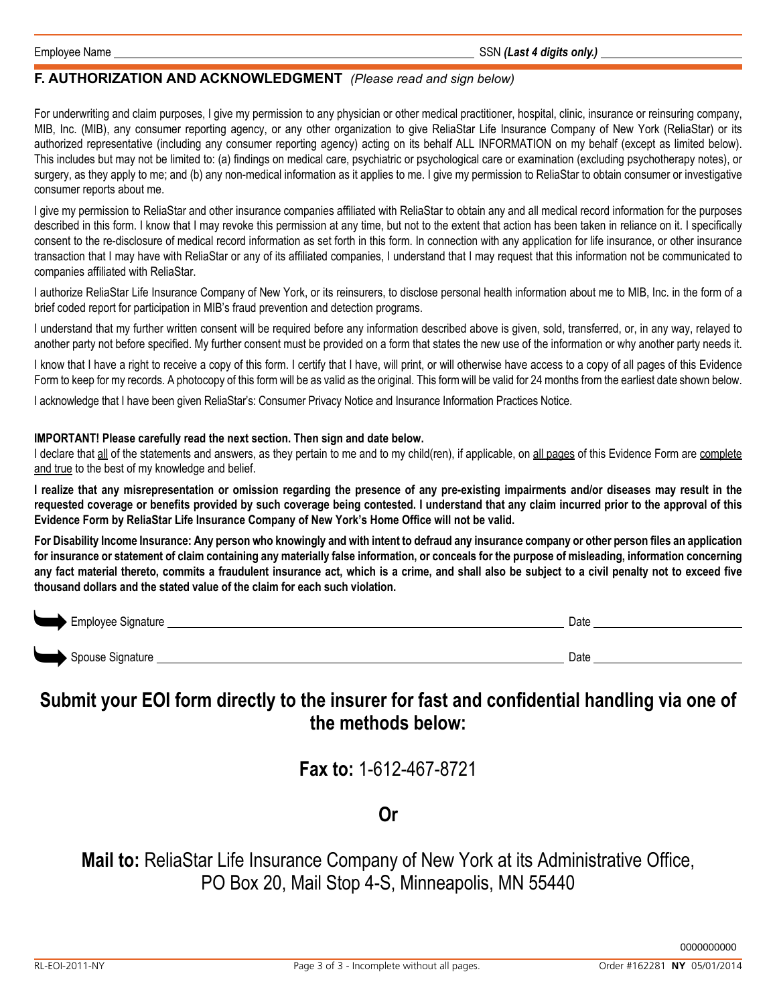## **F. Authorization AND ACKNOWLEDGMENT** *(Please read and sign below)*

For underwriting and claim purposes, I give my permission to any physician or other medical practitioner, hospital, clinic, insurance or reinsuring company, MIB, Inc. (MIB), any consumer reporting agency, or any other organization to give ReliaStar Life Insurance Company of New York (ReliaStar) or its authorized representative (including any consumer reporting agency) acting on its behalf ALL INFORMATION on my behalf (except as limited below). This includes but may not be limited to: (a) findings on medical care, psychiatric or psychological care or examination (excluding psychotherapy notes), or surgery, as they apply to me; and (b) any non-medical information as it applies to me. I give my permission to ReliaStar to obtain consumer or investigative consumer reports about me.

I give my permission to ReliaStar and other insurance companies affiliated with ReliaStar to obtain any and all medical record information for the purposes described in this form. I know that I may revoke this permission at any time, but not to the extent that action has been taken in reliance on it. I specifically consent to the re-disclosure of medical record information as set forth in this form. In connection with any application for life insurance, or other insurance transaction that I may have with ReliaStar or any of its affiliated companies, I understand that I may request that this information not be communicated to companies affiliated with ReliaStar.

I authorize ReliaStar Life Insurance Company of New York, or its reinsurers, to disclose personal health information about me to MIB, Inc. in the form of a brief coded report for participation in MIB's fraud prevention and detection programs.

I understand that my further written consent will be required before any information described above is given, sold, transferred, or, in any way, relayed to another party not before specified. My further consent must be provided on a form that states the new use of the information or why another party needs it.

I know that I have a right to receive a copy of this form. I certify that I have, will print, or will otherwise have access to a copy of all pages of this Evidence Form to keep for my records. A photocopy of this form will be as valid as the original. This form will be valid for 24 months from the earliest date shown below.

I acknowledge that I have been given ReliaStar's: Consumer Privacy Notice and Insurance Information Practices Notice.

## **IMPORTANT! Please carefully read the next section. Then sign and date below.**

I declare that all of the statements and answers, as they pertain to me and to my child(ren), if applicable, on all pages of this Evidence Form are complete and true to the best of my knowledge and belief.

**I realize that any misrepresentation or omission regarding the presence of any pre-existing impairments and/or diseases may result in the requested coverage or benefits provided by such coverage being contested. I understand that any claim incurred prior to the approval of this Evidence Form by ReliaStar Life Insurance Company of New York's Home Office will not be valid.**

**For Disability Income Insurance: Any person who knowingly and with intent to defraud any insurance company or other person files an application for insurance or statement of claim containing any materially false information, or conceals for the purpose of misleading, information concerning any fact material thereto, commits a fraudulent insurance act, which is a crime, and shall also be subject to a civil penalty not to exceed five thousand dollars and the stated value of the claim for each such violation.**

| Employee Signature<br>$\sim$ | Date |
|------------------------------|------|
| Spouse Signature             | Date |

# **Submit your EOI form directly to the insurer for fast and confidential handling via one of the methods below:**

**Fax to:** 1-612-467-8721

# **Or**

**Mail to:** ReliaStar Life Insurance Company of New York at its Administrative Office, PO Box 20, Mail Stop 4-S, Minneapolis, MN 55440

0000000000